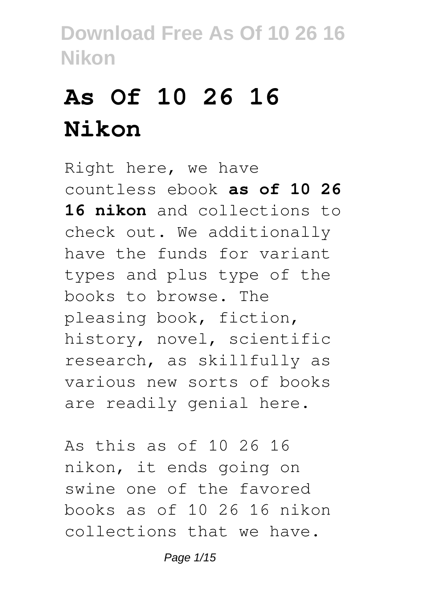# **As Of 10 26 16 Nikon**

Right here, we have countless ebook **as of 10 26 16 nikon** and collections to check out. We additionally have the funds for variant types and plus type of the books to browse. The pleasing book, fiction, history, novel, scientific research, as skillfully as various new sorts of books are readily genial here.

As this as of 10 26 16 nikon, it ends going on swine one of the favored books as of 10 26 16 nikon collections that we have.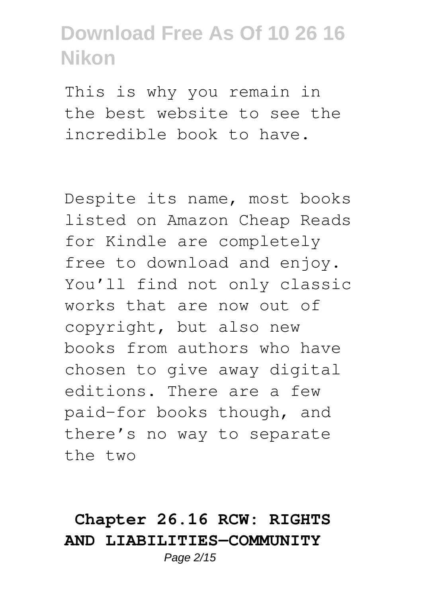This is why you remain in the best website to see the incredible book to have.

Despite its name, most books listed on Amazon Cheap Reads for Kindle are completely free to download and enjoy. You'll find not only classic works that are now out of copyright, but also new books from authors who have chosen to give away digital editions. There are a few paid-for books though, and there's no way to separate the two

### **Chapter 26.16 RCW: RIGHTS AND LIABILITIES—COMMUNITY**

Page 2/15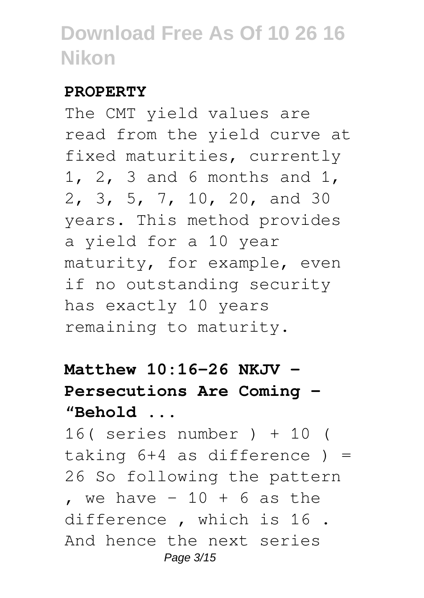#### **PROPERTY**

The CMT yield values are read from the yield curve at fixed maturities, currently 1, 2, 3 and 6 months and 1, 2, 3, 5, 7, 10, 20, and 30 years. This method provides a yield for a 10 year maturity, for example, even if no outstanding security has exactly 10 years remaining to maturity.

### **Matthew 10:16-26 NKJV - Persecutions Are Coming - "Behold ...**

16( series number ) + 10 ( taking  $6+4$  as difference  $) =$ 26 So following the pattern , we have  $-10 + 6$  as the difference , which is 16 . And hence the next series Page 3/15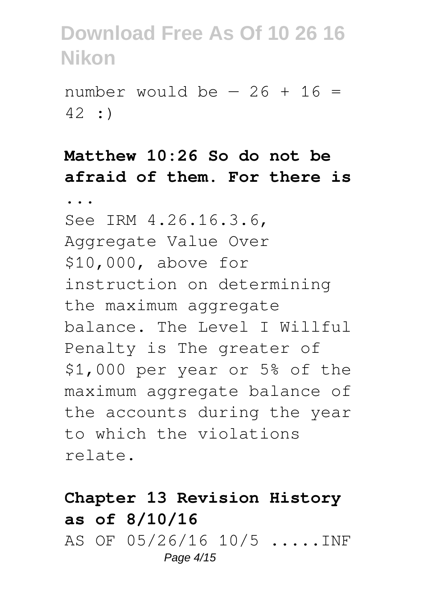number would be  $-26 + 16 =$ 42 :)

#### **Matthew 10:26 So do not be afraid of them. For there is**

**...** See IRM 4.26.16.3.6, Aggregate Value Over \$10,000, above for instruction on determining the maximum aggregate balance. The Level I Willful Penalty is The greater of \$1,000 per year or 5% of the maximum aggregate balance of the accounts during the year to which the violations relate.

#### **Chapter 13 Revision History as of 8/10/16** AS OF 05/26/16 10/5 .....INF Page 4/15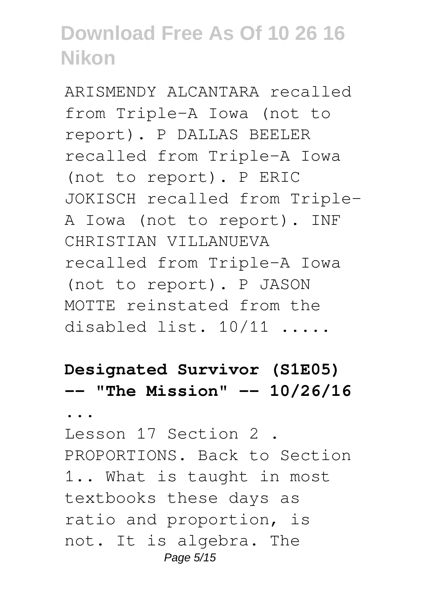ARISMENDY ALCANTARA recalled from Triple-A Iowa (not to report). P DALLAS BEELER recalled from Triple-A Iowa (not to report). P ERIC JOKISCH recalled from Triple-A Iowa (not to report). INF CHRISTIAN VILLANUEVA recalled from Triple-A Iowa (not to report). P JASON MOTTE reinstated from the disabled list. 10/11 .....

#### **Designated Survivor (S1E05) -- "The Mission" -- 10/26/16**

**...**

Lesson 17 Section 2 . PROPORTIONS. Back to Section 1.. What is taught in most textbooks these days as ratio and proportion, is not. It is algebra. The Page 5/15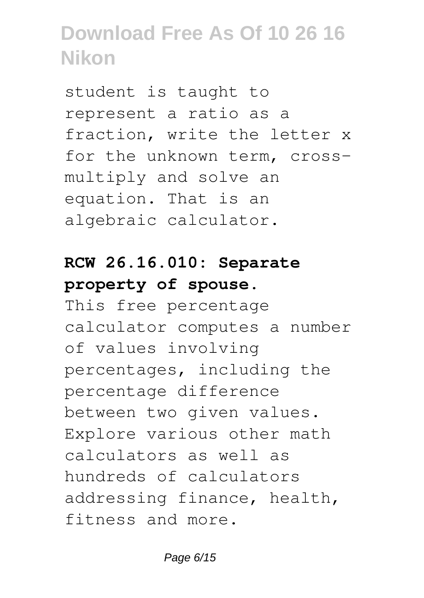student is taught to represent a ratio as a fraction, write the letter x for the unknown term, crossmultiply and solve an equation. That is an algebraic calculator.

### **RCW 26.16.010: Separate property of spouse.**

This free percentage calculator computes a number of values involving percentages, including the percentage difference between two given values. Explore various other math calculators as well as hundreds of calculators addressing finance, health, fitness and more.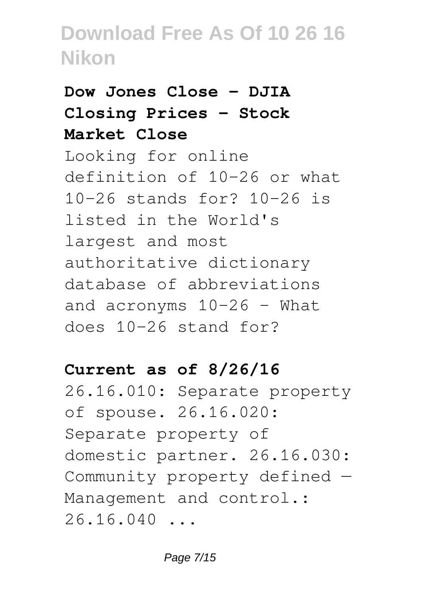### **Dow Jones Close - DJIA Closing Prices - Stock Market Close**

Looking for online definition of 10-26 or what 10-26 stands for? 10-26 is listed in the World's largest and most authoritative dictionary database of abbreviations and acronyms 10-26 - What does 10-26 stand for?

#### **Current as of 8/26/16**

26.16.010: Separate property of spouse. 26.16.020: Separate property of domestic partner. 26.16.030: Community property defined — Management and control.:  $26.16.040...$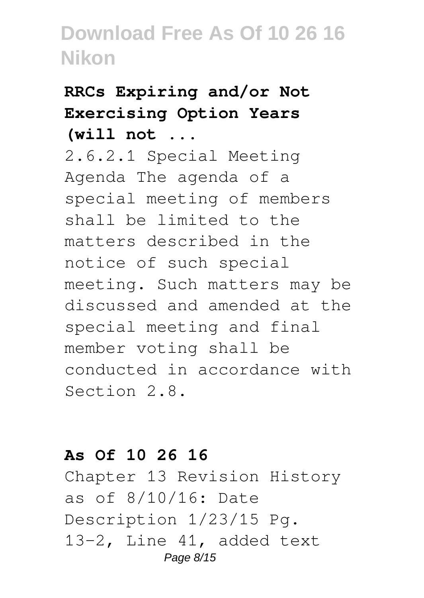# **RRCs Expiring and/or Not Exercising Option Years**

**(will not ...**

2.6.2.1 Special Meeting Agenda The agenda of a special meeting of members shall be limited to the matters described in the notice of such special meeting. Such matters may be discussed and amended at the special meeting and final member voting shall be conducted in accordance with Section 2.8.

#### **As Of 10 26 16**

Chapter 13 Revision History as of 8/10/16: Date Description 1/23/15 Pg. 13-2, Line 41, added text Page 8/15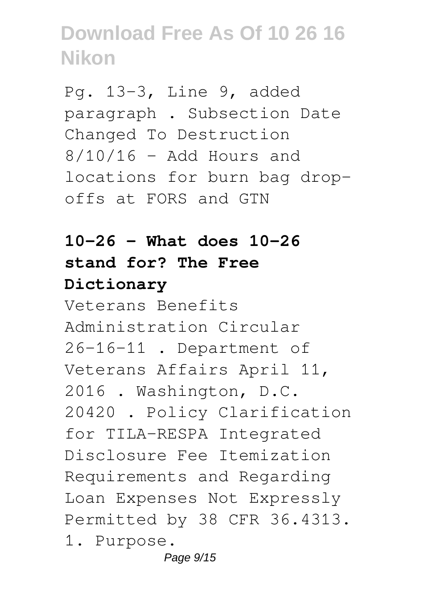Pg. 13-3, Line 9, added paragraph . Subsection Date Changed To Destruction  $8/10/16$  - Add Hours and locations for burn bag dropoffs at FORS and GTN

### **10-26 - What does 10-26 stand for? The Free Dictionary**

Veterans Benefits Administration Circular 26-16-11 . Department of Veterans Affairs April 11, 2016 . Washington, D.C. 20420 . Policy Clarification for TILA-RESPA Integrated Disclosure Fee Itemization Requirements and Regarding Loan Expenses Not Expressly Permitted by 38 CFR 36.4313. 1. Purpose.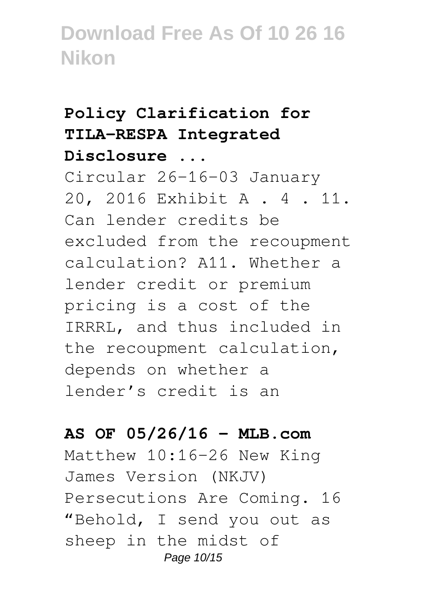#### **Policy Clarification for TILA-RESPA Integrated Disclosure ...**

Circular 26-16-03 January 20, 2016 Exhibit A . 4 . 11. Can lender credits be excluded from the recoupment calculation? A11. Whether a lender credit or premium pricing is a cost of the IRRRL, and thus included in the recoupment calculation, depends on whether a lender's credit is an

#### **AS OF 05/26/16 - MLB.com**

Matthew 10:16-26 New King James Version (NKJV) Persecutions Are Coming. 16 "Behold, I send you out as sheep in the midst of Page 10/15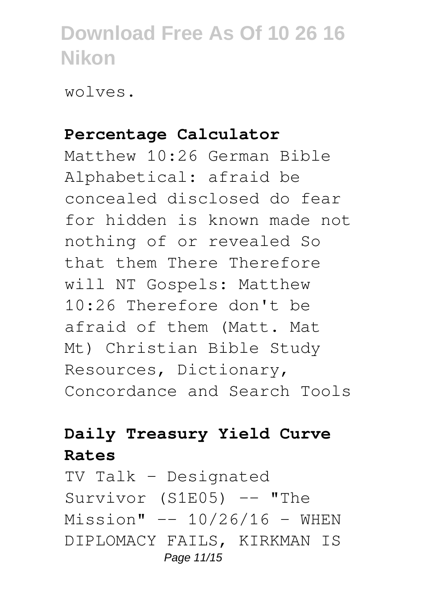wolves.

#### **Percentage Calculator**

Matthew 10:26 German Bible Alphabetical: afraid be concealed disclosed do fear for hidden is known made not nothing of or revealed So that them There Therefore will NT Gospels: Matthew 10:26 Therefore don't be afraid of them (Matt. Mat Mt) Christian Bible Study Resources, Dictionary, Concordance and Search Tools

#### **Daily Treasury Yield Curve Rates**

TV Talk - Designated Survivor (S1E05) -- "The  $Mission" -- 10/26/16 - WHER$ DIPLOMACY FAILS, KIRKMAN IS Page 11/15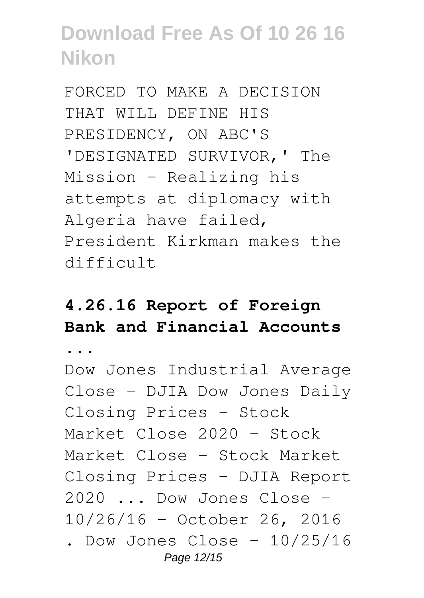FORCED TO MAKE A DECISION THAT WILL DEFINE HIS PRESIDENCY, ON ABC'S 'DESIGNATED SURVIVOR,' The Mission - Realizing his attempts at diplomacy with Algeria have failed, President Kirkman makes the difficult

### **4.26.16 Report of Foreign Bank and Financial Accounts**

**...**

Dow Jones Industrial Average Close - DJIA Dow Jones Daily Closing Prices - Stock Market Close 2020 - Stock Market Close - Stock Market Closing Prices - DJIA Report 2020 ... Dow Jones Close - 10/26/16 - October 26, 2016 . Dow Jones Close -  $10/25/16$ Page 12/15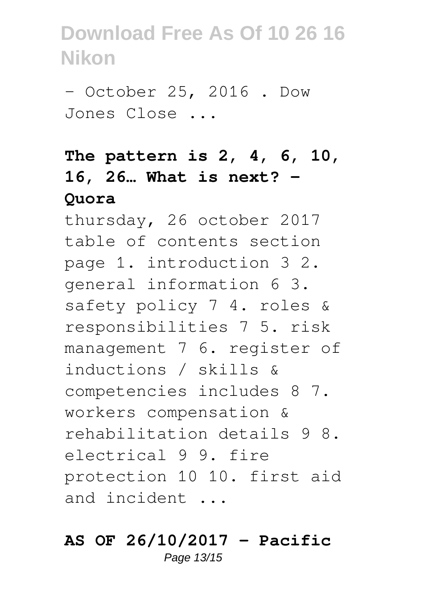- October 25, 2016 . Dow Jones Close ...

### **The pattern is 2, 4, 6, 10, 16, 26… What is next? - Quora**

thursday, 26 october 2017 table of contents section page 1. introduction 3 2. general information 6 3. safety policy 7 4. roles & responsibilities 7 5. risk management 7 6. register of inductions / skills & competencies includes 8 7. workers compensation & rehabilitation details 9 8. electrical 9 9. fire protection 10 10. first aid and incident ...

#### **AS OF 26/10/2017 - Pacific** Page 13/15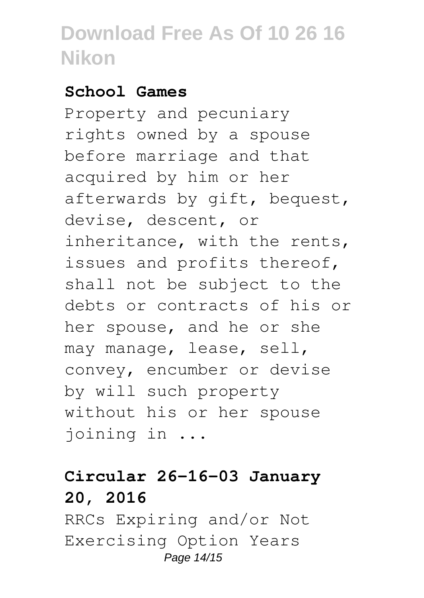#### **School Games**

Property and pecuniary rights owned by a spouse before marriage and that acquired by him or her afterwards by gift, bequest, devise, descent, or inheritance, with the rents, issues and profits thereof, shall not be subject to the debts or contracts of his or her spouse, and he or she may manage, lease, sell, convey, encumber or devise by will such property without his or her spouse joining in ...

### **Circular 26-16-03 January 20, 2016**

RRCs Expiring and/or Not Exercising Option Years Page 14/15